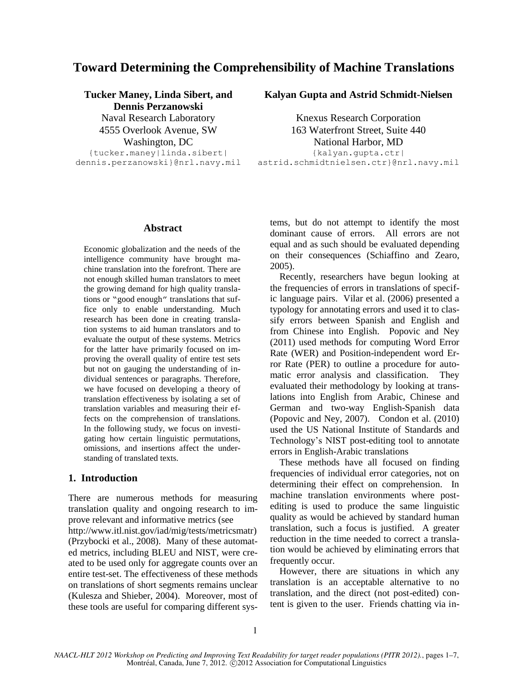# **Toward Determining the Comprehensibility of Machine Translations**

# **Tucker Maney, Linda Sibert, and**

**Dennis Perzanowski**

{tucker.maney|linda.sibert| dennis.perzanowski}@nrl.navy.mil

## **Kalyan Gupta and Astrid Schmidt-Nielsen**

Naval Research Laboratory Knexus Research Corporation 4555 Overlook Avenue, SW 163 Waterfront Street, Suite 440 Washington, DC National Harbor, MD {kalyan.gupta.ctr| astrid.schmidtnielsen.ctr}@nrl.navy.mil

#### **Abstract**

Economic globalization and the needs of the intelligence community have brought machine translation into the forefront. There are not enough skilled human translators to meet the growing demand for high quality translations or "good enough" translations that suffice only to enable understanding. Much research has been done in creating translation systems to aid human translators and to evaluate the output of these systems. Metrics for the latter have primarily focused on improving the overall quality of entire test sets but not on gauging the understanding of individual sentences or paragraphs. Therefore, we have focused on developing a theory of translation effectiveness by isolating a set of translation variables and measuring their effects on the comprehension of translations. In the following study, we focus on investigating how certain linguistic permutations, omissions, and insertions affect the understanding of translated texts.

## **1. Introduction**

There are numerous methods for measuring translation quality and ongoing research to improve relevant and informative metrics (see http://www.itl.nist.gov/iad/mig/tests/metricsmatr) (Przybocki et al., 2008). Many of these automated metrics, including BLEU and NIST, were created to be used only for aggregate counts over an entire test-set. The effectiveness of these methods on translations of short segments remains unclear (Kulesza and Shieber, 2004). Moreover, most of these tools are useful for comparing different systems, but do not attempt to identify the most dominant cause of errors. All errors are not equal and as such should be evaluated depending on their consequences (Schiaffino and Zearo, 2005).

 Recently, researchers have begun looking at the frequencies of errors in translations of specific language pairs. Vilar et al. (2006) presented a typology for annotating errors and used it to classify errors between Spanish and English and from Chinese into English. Popovic and Ney (2011) used methods for computing Word Error Rate (WER) and Position-independent word Error Rate (PER) to outline a procedure for automatic error analysis and classification. They evaluated their methodology by looking at translations into English from Arabic, Chinese and German and two-way English-Spanish data (Popovic and Ney, 2007). Condon et al. (2010) used the US National Institute of Standards and Technology's NIST post-editing tool to annotate errors in English-Arabic translations

 These methods have all focused on finding frequencies of individual error categories, not on determining their effect on comprehension. In machine translation environments where postediting is used to produce the same linguistic quality as would be achieved by standard human translation, such a focus is justified. A greater reduction in the time needed to correct a translation would be achieved by eliminating errors that frequently occur.

 However, there are situations in which any translation is an acceptable alternative to no translation, and the direct (not post-edited) content is given to the user. Friends chatting via in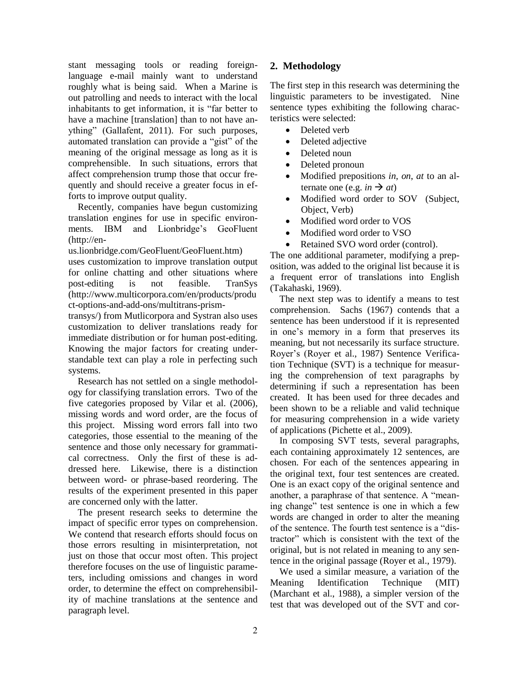stant messaging tools or reading foreignlanguage e-mail mainly want to understand roughly what is being said. When a Marine is out patrolling and needs to interact with the local inhabitants to get information, it is "far better to have a machine [translation] than to not have anything" (Gallafent, 2011). For such purposes, automated translation can provide a "gist" of the meaning of the original message as long as it is comprehensible. In such situations, errors that affect comprehension trump those that occur frequently and should receive a greater focus in efforts to improve output quality.

 Recently, companies have begun customizing translation engines for use in specific environments. IBM and Lionbridge's GeoFluent (http://en-

us.lionbridge.com/GeoFluent/GeoFluent.htm)

uses customization to improve translation output for online chatting and other situations where post-editing is not feasible. TranSys (http://www.multicorpora.com/en/products/produ ct-options-and-add-ons/multitrans-prism-

transys/) from Mutlicorpora and Systran also uses customization to deliver translations ready for immediate distribution or for human post-editing. Knowing the major factors for creating understandable text can play a role in perfecting such systems.

 Research has not settled on a single methodology for classifying translation errors. Two of the five categories proposed by Vilar et al. (2006), missing words and word order, are the focus of this project. Missing word errors fall into two categories, those essential to the meaning of the sentence and those only necessary for grammatical correctness. Only the first of these is addressed here. Likewise, there is a distinction between word- or phrase-based reordering. The results of the experiment presented in this paper are concerned only with the latter.

 The present research seeks to determine the impact of specific error types on comprehension. We contend that research efforts should focus on those errors resulting in misinterpretation, not just on those that occur most often. This project therefore focuses on the use of linguistic parameters, including omissions and changes in word order, to determine the effect on comprehensibility of machine translations at the sentence and paragraph level.

## **2. Methodology**

The first step in this research was determining the linguistic parameters to be investigated. Nine sentence types exhibiting the following characteristics were selected:

- Deleted verb
- Deleted adjective
- Deleted noun
- Deleted pronoun
- Modified prepositions *in*, *on*, *at* to an alternate one (e.g. *in*  $\rightarrow$  *at*)
- Modified word order to SOV (Subject, Object, Verb)
- Modified word order to VOS
- Modified word order to VSO
- Retained SVO word order (control).

The one additional parameter, modifying a preposition, was added to the original list because it is a frequent error of translations into English (Takahaski, 1969).

 The next step was to identify a means to test comprehension. Sachs (1967) contends that a sentence has been understood if it is represented in one's memory in a form that preserves its meaning, but not necessarily its surface structure. Royer's (Royer et al., 1987) Sentence Verification Technique (SVT) is a technique for measuring the comprehension of text paragraphs by determining if such a representation has been created. It has been used for three decades and been shown to be a reliable and valid technique for measuring comprehension in a wide variety of applications (Pichette et al., 2009).

 In composing SVT tests, several paragraphs, each containing approximately 12 sentences, are chosen. For each of the sentences appearing in the original text, four test sentences are created. One is an exact copy of the original sentence and another, a paraphrase of that sentence. A "meaning change" test sentence is one in which a few words are changed in order to alter the meaning of the sentence. The fourth test sentence is a "distractor" which is consistent with the text of the original, but is not related in meaning to any sentence in the original passage (Royer et al., 1979).

 We used a similar measure, a variation of the Meaning Identification Technique (MIT) (Marchant et al., 1988), a simpler version of the test that was developed out of the SVT and cor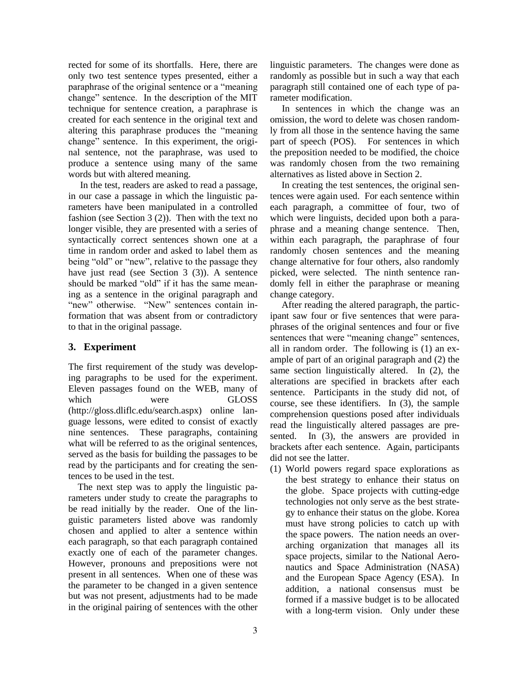rected for some of its shortfalls. Here, there are only two test sentence types presented, either a paraphrase of the original sentence or a "meaning change" sentence. In the description of the MIT technique for sentence creation, a paraphrase is created for each sentence in the original text and altering this paraphrase produces the "meaning change" sentence. In this experiment, the original sentence, not the paraphrase, was used to produce a sentence using many of the same words but with altered meaning.

 In the test, readers are asked to read a passage, in our case a passage in which the linguistic parameters have been manipulated in a controlled fashion (see Section 3 (2)). Then with the text no longer visible, they are presented with a series of syntactically correct sentences shown one at a time in random order and asked to label them as being "old" or "new", relative to the passage they have just read (see Section 3 (3)). A sentence should be marked "old" if it has the same meaning as a sentence in the original paragraph and "new" otherwise. "New" sentences contain information that was absent from or contradictory to that in the original passage.

## **3. Experiment**

The first requirement of the study was developing paragraphs to be used for the experiment. Eleven passages found on the WEB, many of which were GLOSS (http://gloss.dliflc.edu/search.aspx) online language lessons, were edited to consist of exactly nine sentences. These paragraphs, containing what will be referred to as the original sentences, served as the basis for building the passages to be read by the participants and for creating the sentences to be used in the test.

 The next step was to apply the linguistic parameters under study to create the paragraphs to be read initially by the reader. One of the linguistic parameters listed above was randomly chosen and applied to alter a sentence within each paragraph, so that each paragraph contained exactly one of each of the parameter changes. However, pronouns and prepositions were not present in all sentences. When one of these was the parameter to be changed in a given sentence but was not present, adjustments had to be made in the original pairing of sentences with the other linguistic parameters. The changes were done as randomly as possible but in such a way that each paragraph still contained one of each type of parameter modification.

 In sentences in which the change was an omission, the word to delete was chosen randomly from all those in the sentence having the same part of speech (POS). For sentences in which the preposition needed to be modified, the choice was randomly chosen from the two remaining alternatives as listed above in Section 2.

In creating the test sentences, the original sentences were again used. For each sentence within each paragraph, a committee of four, two of which were linguists, decided upon both a paraphrase and a meaning change sentence. Then, within each paragraph, the paraphrase of four randomly chosen sentences and the meaning change alternative for four others, also randomly picked, were selected. The ninth sentence randomly fell in either the paraphrase or meaning change category.

After reading the altered paragraph, the participant saw four or five sentences that were paraphrases of the original sentences and four or five sentences that were "meaning change" sentences, all in random order. The following is (1) an example of part of an original paragraph and (2) the same section linguistically altered. In (2), the alterations are specified in brackets after each sentence. Participants in the study did not, of course, see these identifiers. In (3), the sample comprehension questions posed after individuals read the linguistically altered passages are presented. In (3), the answers are provided in brackets after each sentence. Again, participants did not see the latter.

(1) World powers regard space explorations as the best strategy to enhance their status on the globe. Space projects with cutting-edge technologies not only serve as the best strategy to enhance their status on the globe. Korea must have strong policies to catch up with the space powers. The nation needs an overarching organization that manages all its space projects, similar to the National Aeronautics and Space Administration (NASA) and the European Space Agency (ESA). In addition, a national consensus must be formed if a massive budget is to be allocated with a long-term vision. Only under these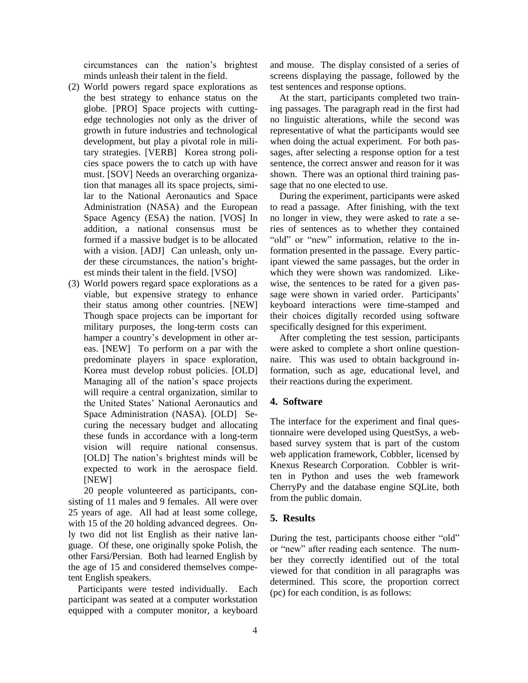circumstances can the nation's brightest minds unleash their talent in the field.

- (2) World powers regard space explorations as the best strategy to enhance status on the globe. [PRO] Space projects with cuttingedge technologies not only as the driver of growth in future industries and technological development, but play a pivotal role in military strategies. [VERB] Korea strong policies space powers the to catch up with have must. [SOV] Needs an overarching organization that manages all its space projects, similar to the National Aeronautics and Space Administration (NASA) and the European Space Agency (ESA) the nation. [VOS] In addition, a national consensus must be formed if a massive budget is to be allocated with a vision. [ADJ] Can unleash, only under these circumstances, the nation's brightest minds their talent in the field. [VSO]
- (3) World powers regard space explorations as a viable, but expensive strategy to enhance their status among other countries. [NEW] Though space projects can be important for military purposes, the long-term costs can hamper a country's development in other areas. [NEW] To perform on a par with the predominate players in space exploration, Korea must develop robust policies. [OLD] Managing all of the nation's space projects will require a central organization, similar to the United States' National Aeronautics and Space Administration (NASA). [OLD] Securing the necessary budget and allocating these funds in accordance with a long-term vision will require national consensus. [OLD] The nation's brightest minds will be expected to work in the aerospace field. [NEW]

20 people volunteered as participants, consisting of 11 males and 9 females. All were over 25 years of age. All had at least some college, with 15 of the 20 holding advanced degrees. Only two did not list English as their native language. Of these, one originally spoke Polish, the other Farsi/Persian. Both had learned English by the age of 15 and considered themselves competent English speakers.

 Participants were tested individually. Each participant was seated at a computer workstation equipped with a computer monitor, a keyboard

and mouse. The display consisted of a series of screens displaying the passage, followed by the test sentences and response options.

 At the start, participants completed two training passages. The paragraph read in the first had no linguistic alterations, while the second was representative of what the participants would see when doing the actual experiment. For both passages, after selecting a response option for a test sentence, the correct answer and reason for it was shown. There was an optional third training passage that no one elected to use.

 During the experiment, participants were asked to read a passage. After finishing, with the text no longer in view, they were asked to rate a series of sentences as to whether they contained "old" or "new" information, relative to the information presented in the passage. Every participant viewed the same passages, but the order in which they were shown was randomized. Likewise, the sentences to be rated for a given passage were shown in varied order. Participants' keyboard interactions were time-stamped and their choices digitally recorded using software specifically designed for this experiment.

 After completing the test session, participants were asked to complete a short online questionnaire. This was used to obtain background information, such as age, educational level, and their reactions during the experiment.

#### **4. Software**

The interface for the experiment and final questionnaire were developed using QuestSys, a webbased survey system that is part of the custom web application framework, Cobbler, licensed by Knexus Research Corporation. Cobbler is written in Python and uses the web framework CherryPy and the database engine SQLite, both from the public domain.

#### **5. Results**

During the test, participants choose either "old" or "new" after reading each sentence. The number they correctly identified out of the total viewed for that condition in all paragraphs was determined. This score, the proportion correct (pc) for each condition, is as follows: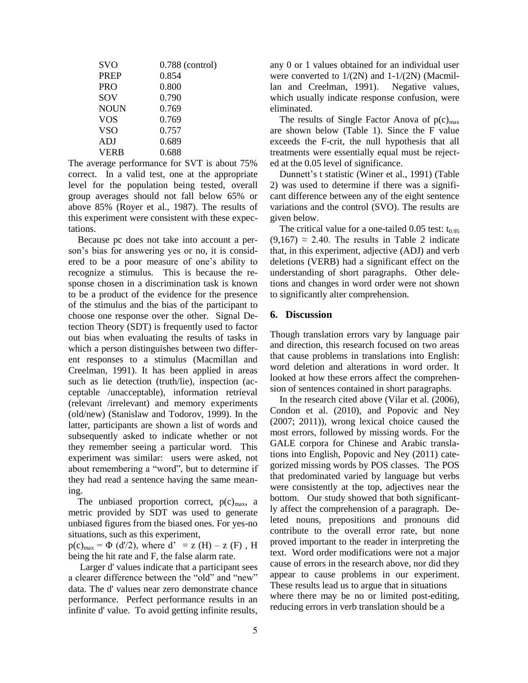| <b>SVO</b>  | $0.788$ (control) |
|-------------|-------------------|
| <b>PREP</b> | 0.854             |
| <b>PRO</b>  | 0.800             |
| SOV         | 0.790             |
| <b>NOUN</b> | 0.769             |
| <b>VOS</b>  | 0.769             |
| <b>VSO</b>  | 0.757             |
| <b>ADJ</b>  | 0.689             |
| <b>VERB</b> | 0.688             |

The average performance for SVT is about 75% correct. In a valid test, one at the appropriate level for the population being tested, overall group averages should not fall below 65% or above 85% (Royer et al., 1987). The results of this experiment were consistent with these expectations.

 Because pc does not take into account a person's bias for answering yes or no, it is considered to be a poor measure of one's ability to recognize a stimulus. This is because the response chosen in a discrimination task is known to be a product of the evidence for the presence of the stimulus and the bias of the participant to choose one response over the other. Signal Detection Theory (SDT) is frequently used to factor out bias when evaluating the results of tasks in which a person distinguishes between two different responses to a stimulus (Macmillan and Creelman, 1991). It has been applied in areas such as lie detection (truth/lie), inspection (acceptable /unacceptable), information retrieval (relevant /irrelevant) and memory experiments (old/new) (Stanislaw and Todorov, 1999). In the latter, participants are shown a list of words and subsequently asked to indicate whether or not they remember seeing a particular word. This experiment was similar: users were asked, not about remembering a "word", but to determine if they had read a sentence having the same meaning.

The unbiased proportion correct,  $p(c)_{max}$ , a metric provided by SDT was used to generate unbiased figures from the biased ones. For yes-no situations, such as this experiment,

 $p(c)_{max} = \Phi(d/2)$ , where  $d' = z(H) - z(F)$ , H being the hit rate and F, the false alarm rate.

Larger d' values indicate that a participant sees a clearer difference between the "old" and "new" data. The d' values near zero demonstrate chance performance. Perfect performance results in an infinite d' value. To avoid getting infinite results,

any 0 or 1 values obtained for an individual user were converted to 1/(2N) and 1-1/(2N) (Macmillan and Creelman, 1991). Negative values, which usually indicate response confusion, were eliminated.

The results of Single Factor Anova of  $p(c)_{max}$ are shown below (Table 1). Since the F value exceeds the F-crit, the null hypothesis that all treatments were essentially equal must be rejected at the 0.05 level of significance.

 Dunnett's t statistic (Winer et al., 1991) (Table 2) was used to determine if there was a significant difference between any of the eight sentence variations and the control (SVO). The results are given below.

The critical value for a one-tailed 0.05 test:  $t_{0.95}$  $(9,167) \approx 2.40$ . The results in Table 2 indicate that, in this experiment, adjective (ADJ) and verb deletions (VERB) had a significant effect on the understanding of short paragraphs. Other deletions and changes in word order were not shown to significantly alter comprehension.

#### **6. Discussion**

Though translation errors vary by language pair and direction, this research focused on two areas that cause problems in translations into English: word deletion and alterations in word order. It looked at how these errors affect the comprehension of sentences contained in short paragraphs.

 In the research cited above (Vilar et al. (2006), Condon et al. (2010), and Popovic and Ney (2007; 2011)), wrong lexical choice caused the most errors, followed by missing words. For the GALE corpora for Chinese and Arabic translations into English, Popovic and Ney (2011) categorized missing words by POS classes. The POS that predominated varied by language but verbs were consistently at the top, adjectives near the bottom. Our study showed that both significantly affect the comprehension of a paragraph. Deleted nouns, prepositions and pronouns did contribute to the overall error rate, but none proved important to the reader in interpreting the text. Word order modifications were not a major cause of errors in the research above, nor did they appear to cause problems in our experiment. These results lead us to argue that in situations where there may be no or limited post-editing, reducing errors in verb translation should be a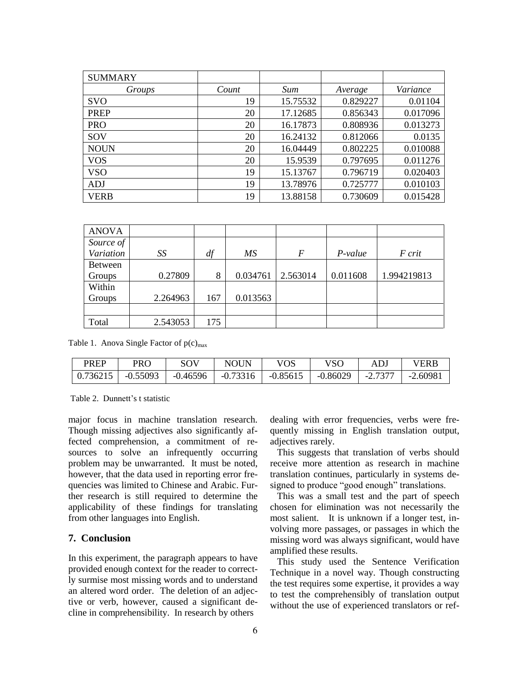| <b>SUMMARY</b> |       |          |          |          |
|----------------|-------|----------|----------|----------|
| Groups         | Count | Sum      | Average  | Variance |
| <b>SVO</b>     | 19    | 15.75532 | 0.829227 | 0.01104  |
| <b>PREP</b>    | 20    | 17.12685 | 0.856343 | 0.017096 |
| <b>PRO</b>     | 20    | 16.17873 | 0.808936 | 0.013273 |
| SOV            | 20    | 16.24132 | 0.812066 | 0.0135   |
| <b>NOUN</b>    | 20    | 16.04449 | 0.802225 | 0.010088 |
| <b>VOS</b>     | 20    | 15.9539  | 0.797695 | 0.011276 |
| <b>VSO</b>     | 19    | 15.13767 | 0.796719 | 0.020403 |
| <b>ADJ</b>     | 19    | 13.78976 | 0.725777 | 0.010103 |
| <b>VERB</b>    | 19    | 13.88158 | 0.730609 | 0.015428 |

| <b>ANOVA</b> |          |     |          |                |          |             |
|--------------|----------|-----|----------|----------------|----------|-------------|
| Source of    |          |     |          |                |          |             |
| Variation    | SS       | df  | МS       | $\overline{F}$ | P-value  | F crit      |
| Between      |          |     |          |                |          |             |
| Groups       | 0.27809  | 8   | 0.034761 | 2.563014       | 0.011608 | 1.994219813 |
| Within       |          |     |          |                |          |             |
| Groups       | 2.264963 | 167 | 0.013563 |                |          |             |
|              |          |     |          |                |          |             |
| Total        | 2.543053 | 175 |          |                |          |             |

Table 1. Anova Single Factor of  $p(c)_{max}$ 

| <b>PREP</b> | PRO                                | SOV      | <b>NOUN</b> | VOS                                  | VSO | AD.     | VERB       |
|-------------|------------------------------------|----------|-------------|--------------------------------------|-----|---------|------------|
|             | $\mid 0.736215 \mid -0.55093 \mid$ | -0.46596 |             | $-0.73316$   $-0.85615$   $-0.86029$ |     | -2.7377 | $-2.60981$ |

Table 2. Dunnett's t statistic

major focus in machine translation research. Though missing adjectives also significantly affected comprehension, a commitment of resources to solve an infrequently occurring problem may be unwarranted. It must be noted, however, that the data used in reporting error frequencies was limited to Chinese and Arabic. Further research is still required to determine the applicability of these findings for translating from other languages into English.

### **7. Conclusion**

In this experiment, the paragraph appears to have provided enough context for the reader to correctly surmise most missing words and to understand an altered word order. The deletion of an adjective or verb, however, caused a significant decline in comprehensibility. In research by others

dealing with error frequencies, verbs were frequently missing in English translation output, adjectives rarely.

 This suggests that translation of verbs should receive more attention as research in machine translation continues, particularly in systems designed to produce "good enough" translations.

 This was a small test and the part of speech chosen for elimination was not necessarily the most salient. It is unknown if a longer test, involving more passages, or passages in which the missing word was always significant, would have amplified these results.

 This study used the Sentence Verification Technique in a novel way. Though constructing the test requires some expertise, it provides a way to test the comprehensibly of translation output without the use of experienced translators or ref